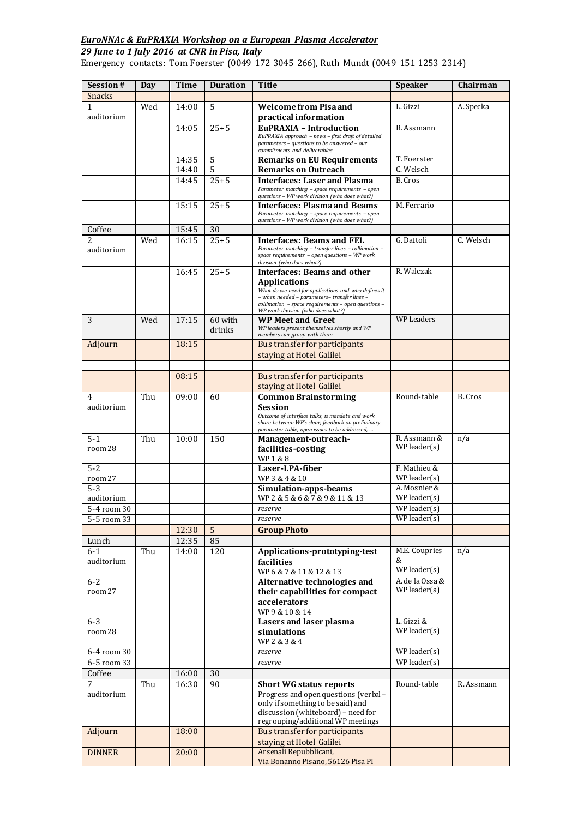## *EuroNNAc & EuPRAXIA Workshop on a European Plasma Accelerator*

## *29 June to 1 July 2016 at CNR in Pisa, Italy*

Emergency contacts: Tom Foerster (0049 172 3045 266), Ruth Mundt (0049 151 1253 2314)

| Session#<br><b>Snacks</b> | <b>Day</b> | Time  | <b>Duration</b> | Title                                                                                                                             | <b>Speaker</b>    | Chairman   |
|---------------------------|------------|-------|-----------------|-----------------------------------------------------------------------------------------------------------------------------------|-------------------|------------|
| 1                         | Wed        | 14:00 | 5               | <b>Welcome from Pisa and</b>                                                                                                      | L. Gizzi          | A. Specka  |
| auditorium                |            |       |                 | practical information                                                                                                             |                   |            |
|                           |            | 14:05 | $25 + 5$        | EuPRAXIA - Introduction                                                                                                           | R. Assmann        |            |
|                           |            |       |                 | EuPRAXIA approach - news - first draft of detailed<br>parameters - questions to be answered - our<br>commitments and deliverables |                   |            |
|                           |            | 14:35 | 5               | <b>Remarks on EU Requirements</b>                                                                                                 | T. Foerster       |            |
|                           |            | 14:40 | 5               | <b>Remarks on Outreach</b>                                                                                                        | C. Welsch         |            |
|                           |            | 14:45 | $25 + 5$        | Interfaces: Laser and Plasma                                                                                                      | B. Cros           |            |
|                           |            |       |                 | Parameter matching - space requirements - open<br>questions - WP work division (who does what?)                                   |                   |            |
|                           |            | 15:15 | $25 + 5$        | Interfaces: Plasma and Beams                                                                                                      | M. Ferrario       |            |
|                           |            |       |                 | Parameter matching - space requirements - open<br>questions - WP work division (who does what?)                                   |                   |            |
| Coffee                    |            | 15:45 | 30              |                                                                                                                                   |                   |            |
| 2                         | Wed        | 16:15 | $25 + 5$        | Interfaces: Beams and FEL                                                                                                         | G. Dattoli        | C. Welsch  |
| auditorium                |            |       |                 | Parameter matching - transfer lines - collimation -<br>space requirements - open questions - WP work<br>division (who does what?) |                   |            |
|                           |            | 16:45 | $25 + 5$        | <b>Interfaces: Beams and other</b>                                                                                                | R. Walczak        |            |
|                           |            |       |                 | <b>Applications</b>                                                                                                               |                   |            |
|                           |            |       |                 | What do we need for applications and who defines it<br>- when needed - parameters- transfer lines -                               |                   |            |
|                           |            |       |                 | collimation - space requirements - open questions -                                                                               |                   |            |
| 3                         | Wed        | 17:15 | 60 with         | WP work division (who does what?)<br><b>WP Meet and Greet</b>                                                                     | <b>WP Leaders</b> |            |
|                           |            |       | drinks          | WP leaders present themselves shortly and WP                                                                                      |                   |            |
|                           |            |       |                 | members can group with them                                                                                                       |                   |            |
| Adjourn                   |            | 18:15 |                 | Bus transfer for participants                                                                                                     |                   |            |
|                           |            |       |                 | staying at Hotel Galilei                                                                                                          |                   |            |
|                           |            | 08:15 |                 | Bus transfer for participants                                                                                                     |                   |            |
|                           |            |       |                 | staying at Hotel Galilei                                                                                                          |                   |            |
| 4                         | Thu        | 09:00 | 60              | <b>Common Brainstorming</b>                                                                                                       | Round-table       | B. Cros    |
| auditorium                |            |       |                 | Session                                                                                                                           |                   |            |
|                           |            |       |                 | Outcome of interface talks, is mandate and work<br>share between WP's clear, feedback on preliminary                              |                   |            |
|                           |            |       |                 | parameter table, open issues to be addressed,                                                                                     |                   |            |
| $5 - 1$                   | Thu        | 10:00 | 150             | Management-outreach-                                                                                                              | R. Assmann &      | n/a        |
| room 28                   |            |       |                 | facilities-costing                                                                                                                | $WP$ leader $(s)$ |            |
| $5 - 2$                   |            |       |                 | WP1&8<br>Laser-LPA-fiber                                                                                                          | F. Mathieu &      |            |
| room 27                   |            |       |                 | WP3 & 4 & 10                                                                                                                      | $WP$ leader $(s)$ |            |
| $5-3$                     |            |       |                 | Simulation-apps-beams                                                                                                             | A. Mosnier &      |            |
| auditorium                |            |       |                 | WP2&5&6&7&9&11&13                                                                                                                 | $WP$ leader $(s)$ |            |
| 5-4 room 30               |            |       |                 | reserve                                                                                                                           | $WP$ leader $(s)$ |            |
| 5-5 room 33               |            |       |                 | reserve                                                                                                                           | $WP$ leader $(s)$ |            |
|                           |            | 12:30 | $\overline{5}$  | <b>Group Photo</b>                                                                                                                |                   |            |
| Lunch                     |            | 12:35 | 85              |                                                                                                                                   |                   |            |
| $6 - 1$                   | Thu        | 14:00 | 120             | Applications-prototyping-test                                                                                                     | M.E. Coupries     | n/a        |
| auditorium                |            |       |                 | facilities                                                                                                                        | &<br>WP leader(s) |            |
| $6 - 2$                   |            |       |                 | WP6 & 7 & 11 & 12 & 13<br>Alternative technologies and                                                                            | A. de la Ossa &   |            |
| room 27                   |            |       |                 | their capabilities for compact                                                                                                    | $WP$ leader $(s)$ |            |
|                           |            |       |                 | accelerators                                                                                                                      |                   |            |
|                           |            |       |                 | WP9 & 10 & 14                                                                                                                     |                   |            |
| $6 - 3$                   |            |       |                 | <b>Lasers and laser plasma</b>                                                                                                    | L. Gizzi &        |            |
| room 28                   |            |       |                 | simulations                                                                                                                       | $WP$ leader $(s)$ |            |
|                           |            |       |                 | WP2 & 3 & 4                                                                                                                       |                   |            |
| 6-4 room 30               |            |       |                 | reserve                                                                                                                           | $WP$ leader $(s)$ |            |
| 6-5 room 33               |            |       |                 | reserve                                                                                                                           | $WP$ leader $(s)$ |            |
| Coffee                    |            | 16:00 | 30              |                                                                                                                                   |                   |            |
| 7                         | Thu        | 16:30 | 90              | <b>Short WG status reports</b>                                                                                                    | Round-table       | R. Assmann |
| auditorium                |            |       |                 | Progress and open questions (verbal -<br>only if something to be said) and                                                        |                   |            |
|                           |            |       |                 | discussion (whiteboard) - need for                                                                                                |                   |            |
|                           |            |       |                 | regrouping/additional WP meetings                                                                                                 |                   |            |
| Adjourn                   |            | 18:00 |                 | Bus transfer for participants                                                                                                     |                   |            |
|                           |            |       |                 | staying at Hotel Galilei                                                                                                          |                   |            |
| <b>DINNER</b>             |            | 20:00 |                 | Arsenali Repubblicani,                                                                                                            |                   |            |
|                           |            |       |                 | Via Bonanno Pisano, 56126 Pisa PI                                                                                                 |                   |            |